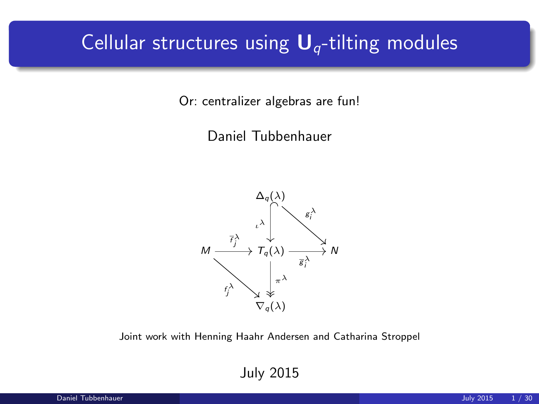## Cellular structures using  $U_q$ -tilting modules

Or: centralizer algebras are fun!

Daniel Tubbenhauer



Joint work with Henning Haahr Andersen and Catharina Stroppel

July 2015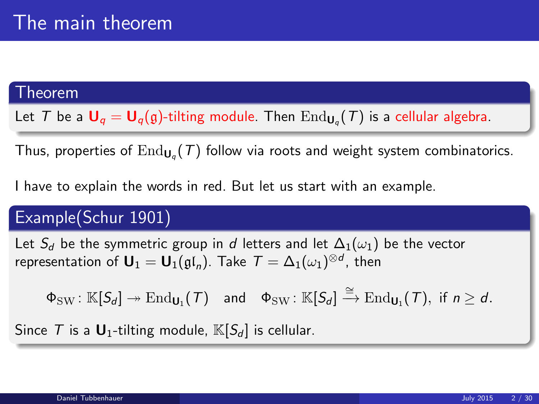### Theorem

Let  $\mathcal T$  be a  $\mathsf U_q=\mathsf U_q(\mathfrak g)$ -tilting module. Then  $\mathrm{End}_{\mathsf{U}_q}(\mathcal T)$  is a cellular algebra.

Thus, properties of  $\operatorname{End}_{\mathsf{U}_q}(\mathcal{T})$  follow via roots and weight system combinatorics.

I have to explain the words in red. But let us start with an example.

### Example(Schur 1901)

Let  $S_d$  be the symmetric group in d letters and let  $\Delta_1(\omega_1)$  be the vector representation of  $\mathbf{U}_1 = \mathbf{U}_1(\mathfrak{gl}_n)$ . Take  $\mathcal{T} = \Delta_1(\omega_1)^{\otimes d}$ , then

 $\Phi_{\mathrm{SW}} \colon \mathbb{K}[S_d] \twoheadrightarrow \mathrm{End}_{\mathsf{U}_1}(\mathcal{T}) \quad \text{and} \quad \Phi_{\mathrm{SW}} \colon \mathbb{K}[S_d] \xrightarrow{\cong} \mathrm{End}_{\mathsf{U}_1}(\mathcal{T}), \text{ if } n \geq d.$ 

Since T is a  $\mathbf{U}_1$ -tilting module,  $\mathbb{K}[S_d]$  is cellular.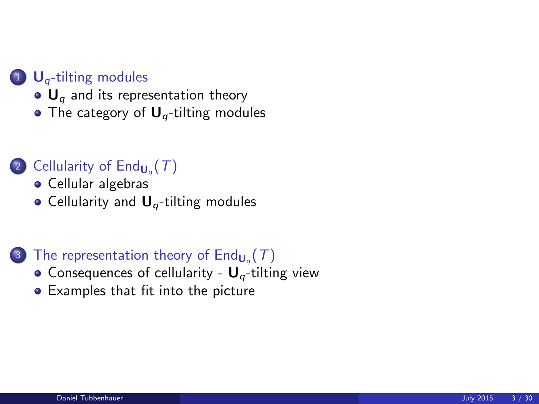#### 1  $U_q$ [-tilting modules](#page-4-0)

- $\bullet$  U<sub>a</sub> [and its representation theory](#page-4-0)
- [The category of](#page-10-0)  $U_q$ -tilting modules

### 2 Cellularity of  $\mathsf{End}_{\mathsf{U}_q}(\mathcal{T})$

- [Cellular algebras](#page-16-0)
- Cellularity and  $U_q$ [-tilting modules](#page-18-0)

### 3) The representation theory of  $\mathsf{End}_{\mathsf{U}_q}(\mathcal{T})$

- [Consequences of cellularity -](#page-22-0)  $U_q$ -tilting view
- [Examples that fit into the picture](#page-26-0)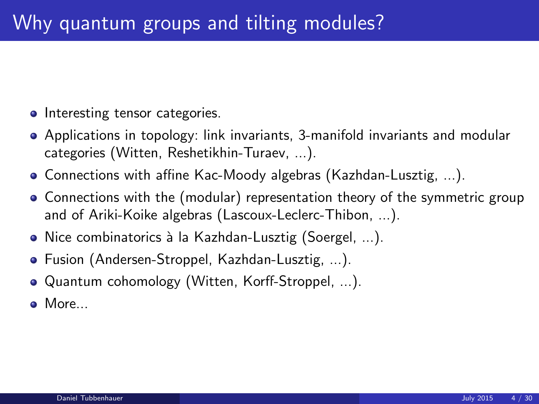- Interesting tensor categories.
- Applications in topology: link invariants, 3-manifold invariants and modular categories (Witten, Reshetikhin-Turaev, ...).
- Connections with affine Kac-Moody algebras (Kazhdan-Lusztig, ...).
- Connections with the (modular) representation theory of the symmetric group and of Ariki-Koike algebras (Lascoux-Leclerc-Thibon, ...).
- Nice combinatorics à la Kazhdan-Lusztig (Soergel, ...).
- Fusion (Andersen-Stroppel, Kazhdan-Lusztig, ...).
- Quantum cohomology (Witten, Korff-Stroppel, ...).
- More...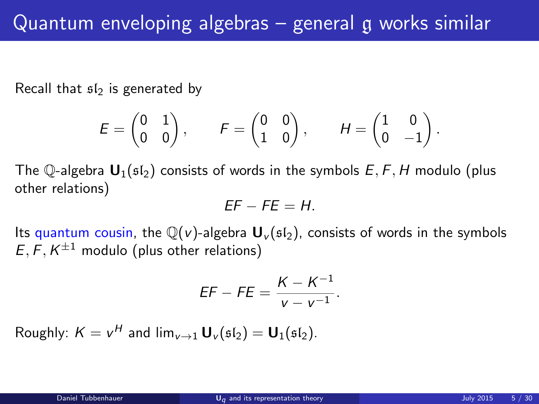Recall that  $s1<sub>2</sub>$  is generated by

$$
\mathcal{E} = \begin{pmatrix} 0 & 1 \\ 0 & 0 \end{pmatrix}, \qquad \mathcal{F} = \begin{pmatrix} 0 & 0 \\ 1 & 0 \end{pmatrix}, \qquad \mathcal{H} = \begin{pmatrix} 1 & 0 \\ 0 & -1 \end{pmatrix}.
$$

The Q-algebra  $\mathbf{U}_1(\mathfrak{sl}_2)$  consists of words in the symbols  $E, F, H$  modulo (plus other relations)

$$
EF - FE = H.
$$

Its quantum cousin, the  $\mathbb{Q}(v)$ -algebra  $\mathbf{U}_v(\mathfrak{sl}_2)$ , consists of words in the symbols  $E, F, K^{\pm 1}$  modulo (plus other relations)

<span id="page-4-0"></span>
$$
EF - FE = \frac{K - K^{-1}}{V - V^{-1}}.
$$

Roughly:  $K = v^H$  and  $\lim_{v \to 1} \mathbf{U}_v(\mathfrak{sl}_2) = \mathbf{U}_1(\mathfrak{sl}_2)$ .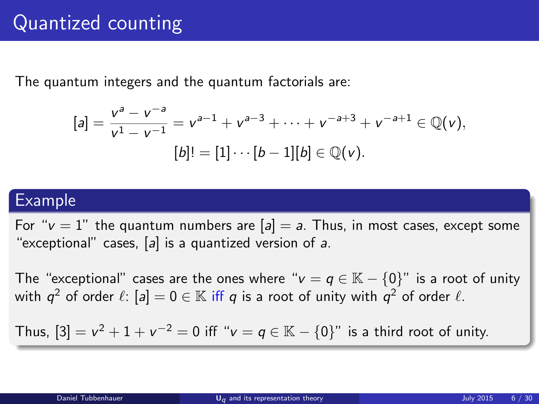## Quantized counting

The quantum integers and the quantum factorials are:

$$
[a] = \frac{v^a - v^{-a}}{v^1 - v^{-1}} = v^{a-1} + v^{a-3} + \cdots + v^{-a+3} + v^{-a+1} \in \mathbb{Q}(v),
$$
  

$$
[b]! = [1] \cdots [b-1][b] \in \mathbb{Q}(v).
$$

#### Example

For " $v = 1$ " the quantum numbers are  $[a] = a$ . Thus, in most cases, except some "exceptional" cases,  $[a]$  is a quantized version of a.

The "exceptional" cases are the ones where " $v = q \in K - \{0\}$ " is a root of unity with  $q^2$  of order  $\ell$ :  $[a]=0\in \mathbb{K}$  iff  $q$  is a root of unity with  $\overline{q}^2$  of order  $\ell$ .

Thus,  $[3] = v^2 + 1 + v^{-2} = 0$  iff " $v = q \in \mathbb{K} - \{0\}$ " is a third root of unity.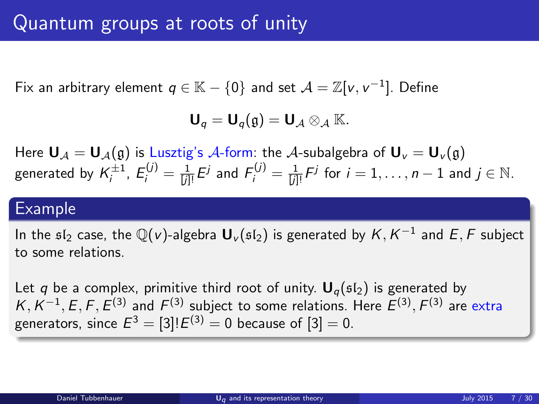Fix an arbitrary element  $q \in \mathbb{K}-\{0\}$  and set  $\mathcal{A}=\mathbb{Z}[v,v^{-1}].$  Define

$$
\mathbf{U}_q=\mathbf{U}_q(\mathfrak{g})=\mathbf{U}_{\mathcal{A}}\otimes_{\mathcal{A}}\mathbb{K}.
$$

Here  $U_A = U_A(g)$  is Lusztig's A-form: the A-subalgebra of  $U_V = U_V(g)$ generated by  $\mathcal{K}_i^{\pm 1},\ \mathcal{E}_i^{(j)}=\frac{1}{[j]!}\mathcal{E}^j$  and  $\mathcal{F}_i^{(j)}=\frac{1}{[j]!}\mathcal{F}^j$  for  $i=1,\ldots,n-1$  and  $j\in\mathbb{N}.$ 

### Example

In the  $\mathfrak{sl}_2$  case, the  $\mathbb Q(v)$ -algebra  ${\mathbf U}_v(\mathfrak{sl}_2)$  is generated by  ${\mathcal K}, {\mathcal K}^{-1}$  and  $E, F$  subject to some relations.

Let q be a complex, primitive third root of unity.  $U_q(\mathfrak{sl}_2)$  is generated by  $K, K^{-1}, E, F, E^{(3)}$  and  $F^{(3)}$  subject to some relations. Here  $E^{(3)}, F^{(3)}$  are extra generators, since  $E^3=[3]!E^{(3)}=0$  because of  $[3]=0.$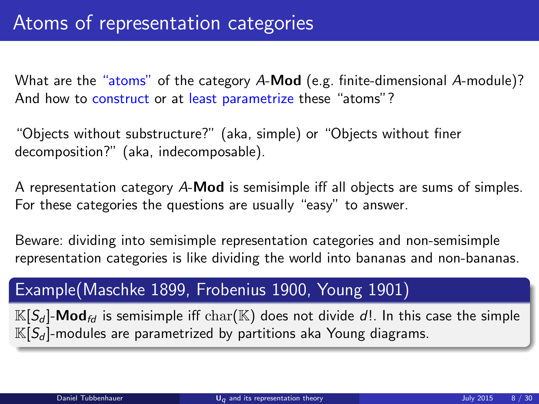What are the "atoms" of the category A-Mod (e.g. finite-dimensional A-module)? And how to construct or at least parametrize these "atoms"?

"Objects without substructure?" (aka, simple) or "Objects without finer decomposition?" (aka, indecomposable).

A representation category A-Mod is semisimple iff all objects are sums of simples. For these categories the questions are usually "easy" to answer.

Beware: dividing into semisimple representation categories and non-semisimple representation categories is like dividing the world into bananas and non-bananas.

### Example(Maschke 1899, Frobenius 1900, Young 1901)

 $\mathbb{K}[S_d]$ -Mod<sub>fd</sub> is semisimple iff char( $\mathbb{K}$ ) does not divide d!. In this case the simple  $\mathbb{K}[S_d]$ -modules are parametrized by partitions aka Young diagrams.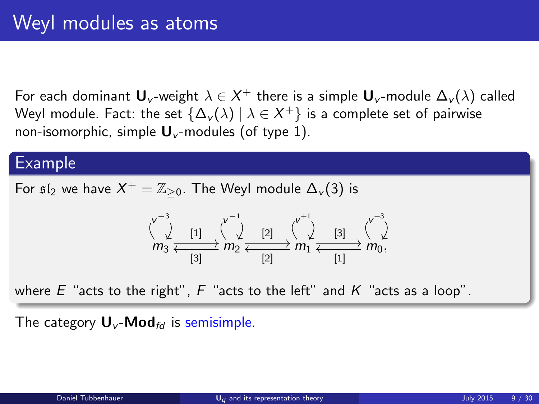For each dominant  $\mathbf{U}_v$ -weight  $\lambda\in\mathsf{X}^+$  there is a simple  $\mathbf{U}_v$ -module  $\Delta_v(\lambda)$  called Weyl module. Fact: the set  $\{\Delta_{\tiny \textbf{v}}(\lambda) \ | \ \lambda \in X^+\}$  is a complete set of pairwise non-isomorphic, simple  $\mathbf{U}_{\nu}$ -modules (of type 1).

#### Example

For  $\mathfrak{sl}_2$  we have  $X^+ = \mathbb{Z}_{\geq 0}$ . The Weyl module  $\Delta_v(3)$  is

$$
m_3 \xleftarrow{\sqrt{\phantom{a}} \phantom{a}} \begin{array}{c} \uparrow \cr \downarrow \cr m_3 \xleftarrow{\sqrt{\phantom{a}} \phantom{a}} \begin{array}{c} \uparrow \cr \downarrow \cr \hline \cr \hline \cr \hline \cr \hline \cr \hline \cr \end{array} \right) \longrightarrow m_2 \xleftarrow{\sqrt{\phantom{a}} \phantom{a}} \begin{array}{c} \uparrow \cr \downarrow \cr \hline \cr \hline \cr \hline \cr \hline \cr \hline \cr \hline \cr \hline \cr \end{array} \right) \longrightarrow m_1 \xleftarrow{\sqrt{\phantom{a}} \phantom{a}} \begin{array}{c} \uparrow \cr \downarrow \cr \hline \cr \hline \cr \hline \cr \hline \cr \hline \cr \hline \cr \hline \cr \end{array} \right) \longrightarrow m_2 \xleftarrow{\sqrt{\phantom{a}} \phantom{a}} \begin{array}{c} \uparrow \cr \downarrow \cr \hline \cr \hline \cr \hline \cr \hline \cr \hline \cr \hline \cr \hline \cr \end{array} \right)
$$

where  $E$  "acts to the right",  $F$  "acts to the left" and  $K$  "acts as a loop".

The category  $U_v$ -Mod<sub>fd</sub> is semisimple.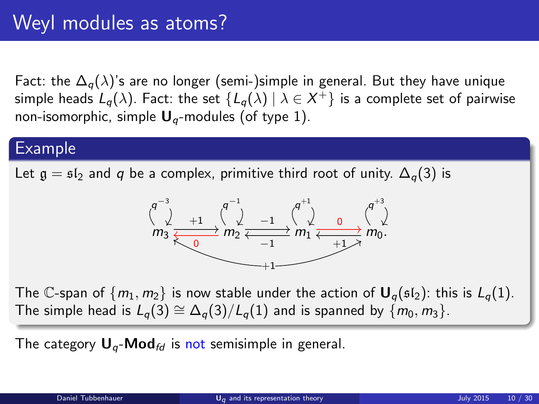Fact: the  $\Delta_{q}(\lambda)$ 's are no longer (semi-)simple in general. But they have unique simple heads  $L_q(\lambda).$  Fact: the set  $\{L_q(\lambda)\ |\ \lambda\in X^+\}$  is a complete set of pairwise non-isomorphic, simple  $U_q$ -modules (of type 1).

### Example

Let  $\mathfrak{g} = \mathfrak{sl}_2$  and q be a complex, primitive third root of unity.  $\Delta_q(3)$  is



The C-span of  $\{m_1, m_2\}$  is now stable under the action of  $\mathbf{U}_q(\mathfrak{sl}_2)$ : this is  $L_q(1)$ . The simple head is  $L_q(3) \cong \Delta_q(3)/L_q(1)$  and is spanned by  $\{m_0, m_3\}$ .

The category  $U_q$ -Mod<sub>fd</sub> is not semisimple in general.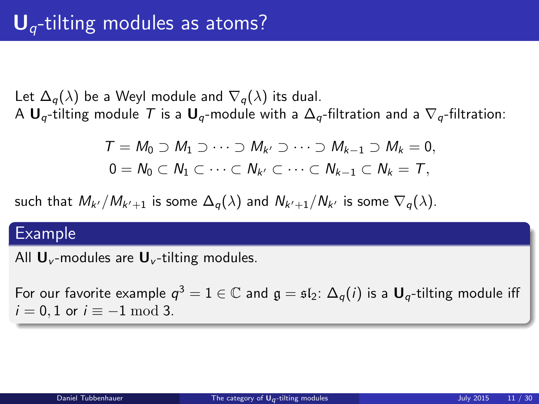Let  $\Delta_q(\lambda)$  be a Weyl module and  $\nabla_q(\lambda)$  its dual. A  $U_q$ -tilting module T is a  $U_q$ -module with a  $\Delta_q$ -filtration and a  $\nabla_q$ -filtration:

<span id="page-10-0"></span>
$$
T = M_0 \supset M_1 \supset \cdots \supset M_{k'} \supset \cdots \supset M_{k-1} \supset M_k = 0,
$$
  

$$
0 = N_0 \subset N_1 \subset \cdots \subset N_{k'} \subset \cdots \subset N_{k-1} \subset N_k = T,
$$

such that  $M_{k'}/M_{k'+1}$  is some  $\Delta_{q}(\lambda)$  and  $N_{k'+1}/N_{k'}$  is some  $\nabla_{q}(\lambda).$ 

#### Example

All  $\mathbf{U}_{v}$ -modules are  $\mathbf{U}_{v}$ -tilting modules.

For our favorite example  $q^3=1\in\mathbb{C}$  and  $\mathfrak{g}=\mathfrak{sl}_2\colon\Delta_q(i)$  is a  $\mathsf{U}_q\text{-tilting}$  module iff  $i = 0, 1$  or  $i \equiv -1 \mod 3$ .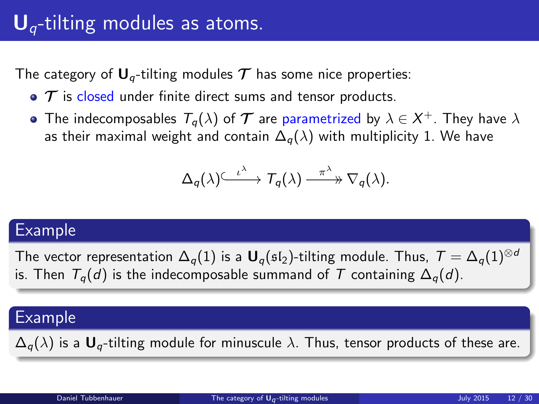## $U_q$ -tilting modules as atoms.

The category of  $U_q$ -tilting modules  $T$  has some nice properties:

- $\bullet$   $\tau$  is closed under finite direct sums and tensor products.
- The indecomposables  $\mathcal{T}_q(\lambda)$  of  $\bm{\mathcal{T}}$  are parametrized by  $\lambda\in\mathcal{X}^+ .$  They have  $\lambda$ as their maximal weight and contain  $\Delta_q(\lambda)$  with multiplicity 1. We have

$$
\Delta_q(\lambda) \stackrel{\iota^{\lambda}}{\longrightarrow} \mathcal{T}_q(\lambda) \stackrel{\pi^{\lambda}}{\longrightarrow} \nabla_q(\lambda).
$$

#### Example

The vector representation  $\Delta_q(1)$  is a  $\mathbf{U}_q(\mathfrak{sl}_2)$ -tilting module. Thus,  $T = \Delta_q(1)^{\otimes d}$ is. Then  $T_q(d)$  is the indecomposable summand of T containing  $\Delta_q(d)$ .

### Example

 $\Delta_q(\lambda)$  is a  $U_q$ -tilting module for minuscule  $\lambda$ . Thus, tensor products of these are.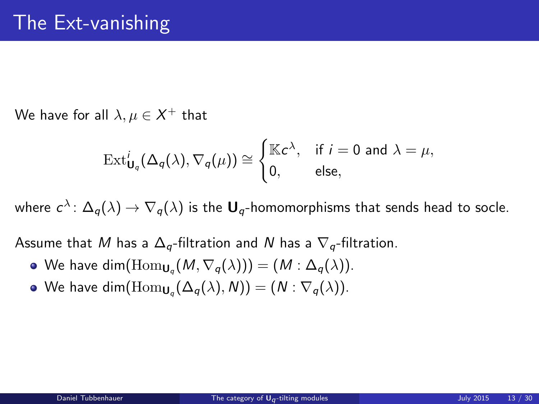We have for all  $\lambda,\mu\in X^+$  that

$$
\operatorname{Ext}^i_{\mathbf{U}_q}(\Delta_q(\lambda), \nabla_q(\mu)) \cong \begin{cases} \mathbb{K}c^{\lambda}, & \text{if } i = 0 \text{ and } \lambda = \mu, \\ 0, & \text{else,} \end{cases}
$$

where  $c^\lambda\colon\Delta_q(\lambda)\to\nabla_q(\lambda)$  is the  $\mathbf{U}_q$ -homomorphisms that sends head to socle.

Assume that M has a  $\Delta_{q}$ -filtration and N has a  $\nabla_{q}$ -filtration.

- We have  $\dim(\mathrm{Hom}_{\mathsf{U}_q}(M,\nabla_q(\lambda)))=(M:\Delta_q(\lambda)).$
- We have  $\dim(\mathrm{Hom}_{\mathsf{U}_q}(\Delta_q(\lambda),N)) = (N : \nabla_q(\lambda)).$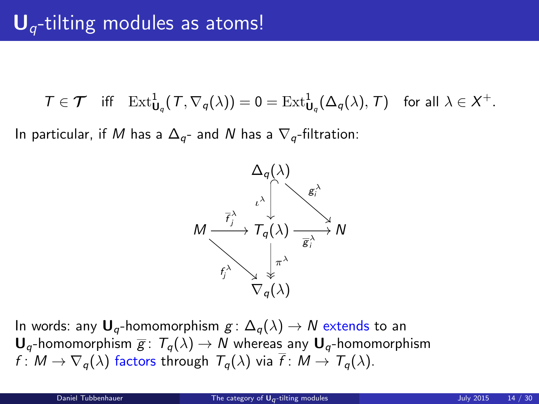$T \in \mathcal{T}$  iff  $\mathrm{Ext}^1_{\mathbf{U}_q}(\mathcal{T}, \nabla_q(\lambda)) = 0 = \mathrm{Ext}^1_{\mathbf{U}_q}(\Delta_q(\lambda), \mathcal{T})$  for all  $\lambda \in \mathcal{X}^+$ .

In particular, if M has a  $\Delta_{q}$ - and N has a  $\nabla_{q}$ -filtration:



In words: any  $U_q$ -homomorphism  $g: \Delta_q(\lambda) \to N$  extends to an  $U_{\sigma}$ -homomorphism  $\overline{g}$ :  $T_{\sigma}(\lambda) \rightarrow N$  whereas any  $U_{\sigma}$ -homomorphism  $f: M \to \nabla_q(\lambda)$  factors through  $T_q(\lambda)$  via  $\overline{f}: M \to T_q(\lambda)$ .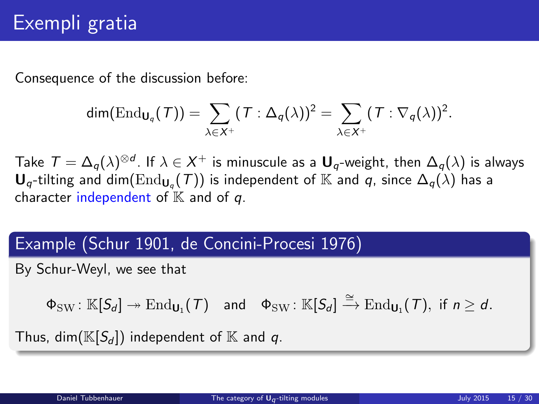Consequence of the discussion before:

$$
\dim(\mathrm{End}_{\mathbf{U}_q}(\mathcal{T}))=\sum_{\lambda\in X^+}(\mathcal{T}:\Delta_q(\lambda))^2=\sum_{\lambda\in X^+}(\mathcal{T}:\nabla_q(\lambda))^2.
$$

Take  $\mathcal{T}=\Delta_q(\lambda)^{\otimes d}.$  If  $\lambda\in X^+$  is minuscule as a  $\sf{U}_q$ -weight, then  $\Delta_q(\lambda)$  is always  ${\sf U}_q\text{-tilting}$  and  $\dim(\text{End}_{{\sf U}_q}(\mathcal{T}))$  is independent of  $\mathbb K$  and  $q$ , since  $\Delta_q(\lambda)$  has a character independent of  $K$  and of  $q$ .

### Example (Schur 1901, de Concini-Procesi 1976)

By Schur-Weyl, we see that

 $\Phi_{\mathrm{SW}} \colon \mathbb{K}[S_d] \twoheadrightarrow \mathrm{End}_{\mathsf{U}_1}(\mathcal{T}) \quad \text{and} \quad \Phi_{\mathrm{SW}} \colon \mathbb{K}[S_d] \xrightarrow{\cong} \mathrm{End}_{\mathsf{U}_1}(\mathcal{T}), \text{ if } n \geq d.$ 

Thus, dim( $\mathbb{K}[S_d]$ ) independent of  $\mathbb K$  and q.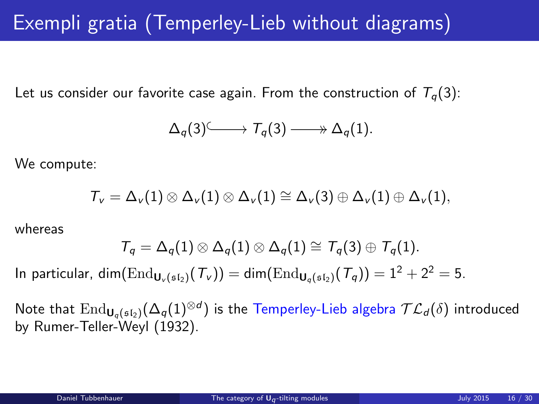## Exempli gratia (Temperley-Lieb without diagrams)

Let us consider our favorite case again. From the construction of  $T<sub>q</sub>(3)$ :

$$
\Delta_q(3) \longrightarrow T_q(3) \longrightarrow \Delta_q(1).
$$

We compute:

$$
{\mathcal T}_\nu=\Delta_\nu(1)\otimes\Delta_\nu(1)\otimes\Delta_\nu(1)\cong\Delta_\nu(3)\oplus\Delta_\nu(1)\oplus\Delta_\nu(1),
$$

whereas

$$
\mathcal{T}_q=\Delta_q(1)\otimes \Delta_q(1)\otimes \Delta_q(1)\cong \mathcal{T}_q(3)\oplus \mathcal{T}_q(1).
$$

In particular, dim( $\text{End}_{\mathbf{U}_{\alpha}(\mathfrak{sl}_2)}(\mathcal{T}_{\nu}) = \text{dim}(\text{End}_{\mathbf{U}_{\alpha}(\mathfrak{sl}_2)}(\mathcal{T}_{\alpha})) = 1^2 + 2^2 = 5.$ 

Note that  $\rm{End}_{U_q(\mathfrak{sl}_2)}(\Delta_q(1)^{\otimes d})$  is the Temperley-Lieb algebra  $\mathcal{TL}_d(\delta)$  introduced by Rumer-Teller-Weyl (1932).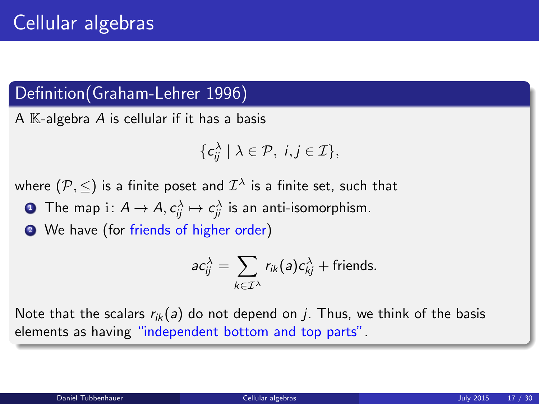### Definition(Graham-Lehrer 1996)

A  $K$ -algebra A is cellular if it has a basis

$$
\{\mathsf c_{ij}^\lambda\mid\lambda\in\mathcal P,\ i,j\in\mathcal I\},\
$$

where  $(\mathcal{P},\leq)$  is a finite poset and  $\mathcal{I}^\lambda$  is a finite set, such that

 $\bullet\,$  The map  $\mathrm{i}\colon A\to A,$   $c_{ij}^\lambda\mapsto c_{ji}^\lambda$  is an anti-isomorphism.

<sup>2</sup> We have (for friends of higher order)

<span id="page-16-0"></span>
$$
ac_{ij}^{\lambda} = \sum_{k \in \mathcal{I}^{\lambda}} r_{ik}(a)c_{kj}^{\lambda} + \text{friends.}
$$

Note that the scalars  $r_{ik}(a)$  do not depend on j. Thus, we think of the basis elements as having "independent bottom and top parts".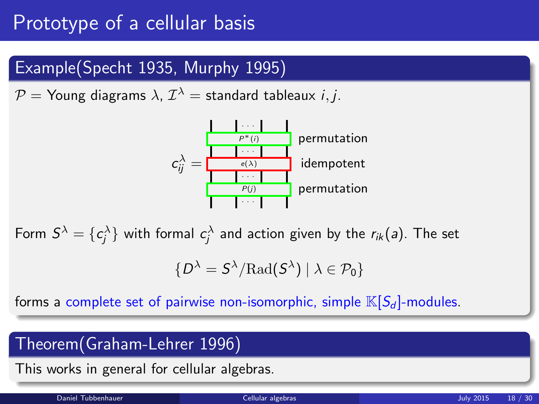## Prototype of a cellular basis

### Example(Specht 1935, Murphy 1995)

 $\mathcal{P} =$  Young diagrams  $\lambda$ ,  $\mathcal{I}^\lambda =$  standard tableaux  $i, j.$ 



Form  $S^\lambda = \{c_j^\lambda\}$  with formal  $c_j^\lambda$  and action given by the  $r_{ik}(s)$ . The set

$$
\{D^{\lambda} = S^{\lambda}/\mathrm{Rad}(S^{\lambda}) \mid \lambda \in \mathcal{P}_0\}
$$

forms a complete set of pairwise non-isomorphic, simple  $\mathbb{K}[S_d]$ -modules.

### Theorem(Graham-Lehrer 1996)

This works in general for cellular algebras.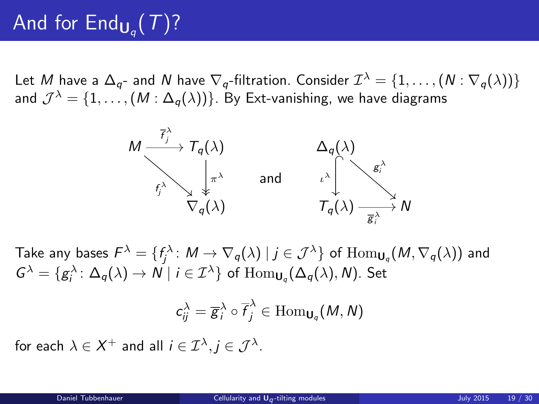# And for  $\mathsf{End}_{\mathsf{U}_q}(\mathcal{T})$ ?

Let  $M$  have a  $\Delta_{q}$ - and  $N$  have  $\nabla_{q}$ -filtration. Consider  $\mathcal{I}^{\lambda}=\{1,\ldots,(N:\nabla_{q}(\lambda))\}$ and  $\mathcal{J}^{\lambda}=\{1,\ldots,(M:\Delta_{q}(\lambda))\}$ . By Ext-vanishing, we have diagrams



Take any bases  $\mathcal{F}^\lambda=\{f_j^\lambda\colon M\to \nabla_q(\lambda)\mid j\in\mathcal{J}^\lambda\}$  of  $\text{Hom}_{\mathsf{U}_q}(M,\nabla_q(\lambda))$  and  $G^{\lambda} = \{g_i^{\lambda} \colon \Delta_q(\lambda) \to N \mid i \in \mathcal{I}^{\lambda}\}\,$  of  $\mathrm{Hom}_{\mathsf{U}_q}(\Delta_q(\lambda), N)$ . Set

<span id="page-18-0"></span>
$$
c_{ij}^{\lambda}=\overline{g}_{i}^{\lambda}\circ\overline{f}_{j}^{\lambda}\in\mathrm{Hom}_{\mathsf{U}_{q}}(M,N)
$$

for each  $\lambda \in X^+$  and all  $i \in {\cal I}^\lambda, j \in {\cal J}^\lambda.$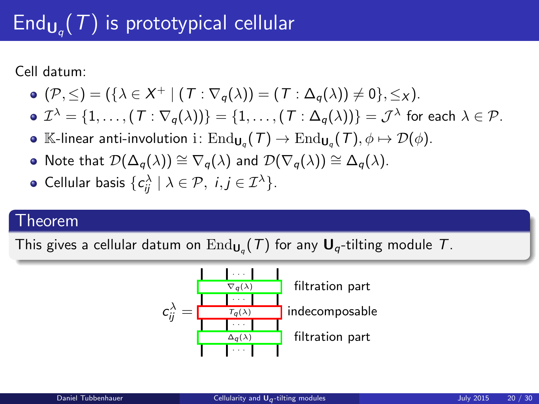# $\mathsf{End}_{\mathsf{U}_q}(\mathcal{T})$  is prototypical cellular

Cell datum:

$$
\bullet \; (\mathcal{P}, \leq) = (\{\lambda \in X^+ \mid (T : \nabla_q(\lambda)) = (T : \Delta_q(\lambda)) \neq 0\}, \leq_X).
$$

• 
$$
\mathcal{I}^{\lambda} = \{1, ..., (\mathcal{T} : \nabla_q(\lambda))\} = \{1, ..., (\mathcal{T} : \Delta_q(\lambda))\} = \mathcal{J}^{\lambda}
$$
 for each  $\lambda \in \mathcal{P}$ .

- $\mathbb{K}\text{-}$ linear anti-involution i $:\text{End}_{\mathsf{U}_q}(\mathcal{T})\to \text{End}_{\mathsf{U}_q}(\mathcal{T}), \phi\mapsto \mathcal{D}(\phi).$
- Note that  $\mathcal{D}(\Delta_a(\lambda)) \cong \nabla_a(\lambda)$  and  $\mathcal{D}(\nabla_a(\lambda)) \cong \Delta_a(\lambda)$ .

• Cellular basis 
$$
\{c_{ij}^{\lambda} \mid \lambda \in \mathcal{P}, i, j \in \mathcal{I}^{\lambda}\}.
$$

#### Theorem

This gives a cellular datum on  $\mathrm{End}_{\mathsf{U}_q}(\mathcal{T})$  for any  $\mathsf{U}_q\text{-tilting}$  module  $\mathcal{T}.$ 

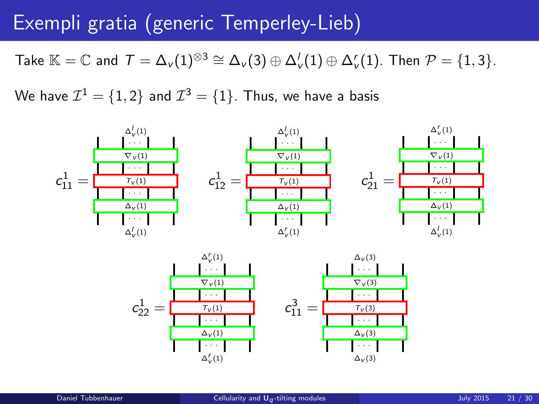## Exempli gratia (generic Temperley-Lieb)

Take  $\mathbb{K}=\mathbb{C}$  and  $\mathcal{T}=\Delta_{\nu}(1)^{\otimes 3}\cong \Delta_{\nu}(3)\oplus \Delta_{\nu}'(1)\oplus \Delta_{\nu}'(1).$  Then  $\mathcal{P}=\{1,3\}.$ 

We have  $\mathcal{I}^1=\{1,2\}$  and  $\mathcal{I}^3=\{1\}.$  Thus, we have a basis



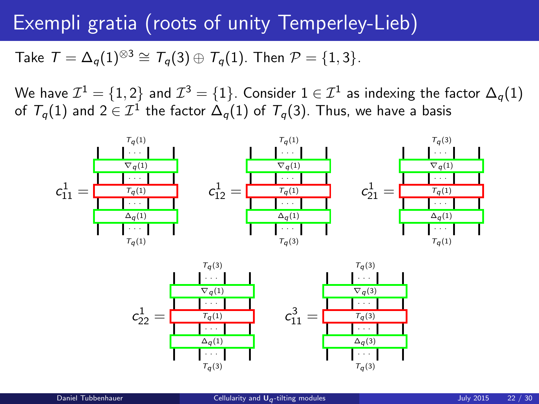## Exempli gratia (roots of unity Temperley-Lieb)

Take  $T = \Delta_a(1)^{\otimes 3} \cong T_a(3) \oplus T_a(1)$ . Then  $\mathcal{P} = \{1, 3\}$ .

We have  $\mathcal{I}^1=\{1,2\}$  and  $\mathcal{I}^3=\{1\}.$  Consider  $1\in\mathcal{I}^1$  as indexing the factor  $\Delta_q(1)$ of  $\mathcal{T}_q(1)$  and  $2\in\mathcal{I}^1$  the factor  $\Delta_q(1)$  of  $\mathcal{T}_q(3).$  Thus, we have a basis



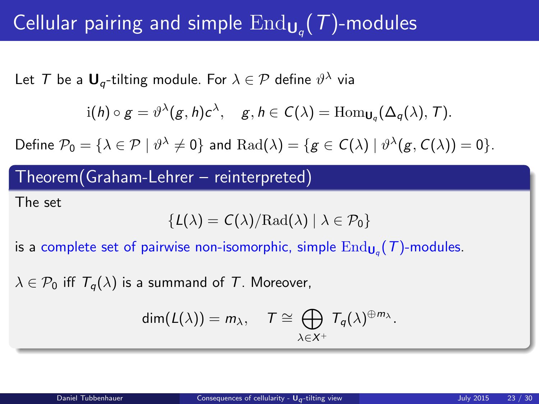# Cellular pairing and simple  $\mathrm{End}_{\mathsf{U}_q}(\mathcal{T})$ -modules

Let  $\mathcal T$  be a  $\mathsf U_q\text{-tilting}$  module. For  $\lambda\in\mathcal P$  define  $\vartheta^\lambda$  via

$$
i(h) \circ g = \vartheta^{\lambda}(g, h)c^{\lambda}, \quad g, h \in C(\lambda) = \text{Hom}_{\mathsf{U}_q}(\Delta_q(\lambda), T).
$$

Define  $\mathcal{P}_0 = \{ \lambda \in \mathcal{P} \mid \vartheta^\lambda \neq 0 \}$  and  $\mathrm{Rad}(\lambda) = \{ g \in C(\lambda) \mid \vartheta^\lambda(g, C(\lambda)) = 0 \}.$ 

### Theorem(Graham-Lehrer – reinterpreted)

The set

$$
\{L(\lambda) = C(\lambda)/{\rm Rad}(\lambda) \mid \lambda \in \mathcal{P}_0\}
$$

is a complete set of pairwise non-isomorphic, simple  $\mathrm{End}_{\mathsf{U}_q}(\mathcal{T})$ -modules.

 $\lambda \in \mathcal{P}_0$  iff  $T_a(\lambda)$  is a summand of T. Moreover,

<span id="page-22-0"></span>
$$
\dim(L(\lambda))=m_{\lambda}, \quad T \cong \bigoplus_{\lambda \in X^+} T_q(\lambda)^{\oplus m_{\lambda}}.
$$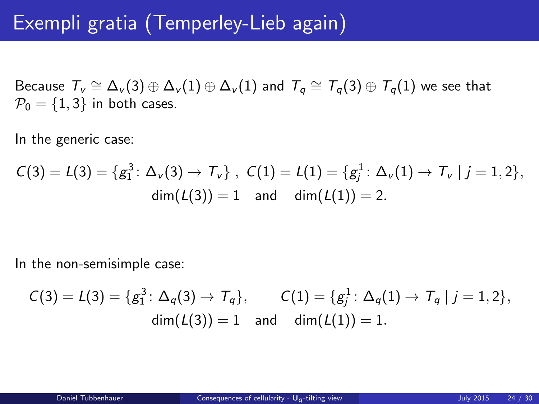## Exempli gratia (Temperley-Lieb again)

Because  $\overline{\tau}_v \cong \Delta_v(3) \oplus \Delta_v(1) \oplus \Delta_v(1)$  and  $\overline{\tau}_q \cong \overline{\tau}_q(3) \oplus \overline{\tau}_q(1)$  we see that  $P_0 = \{1, 3\}$  in both cases.

In the generic case:

$$
C(3) = L(3) = \{g_1^3 \colon \Delta_v(3) \to \mathcal{T}_v\}, \ \ C(1) = L(1) = \{g_j^1 \colon \Delta_v(1) \to \mathcal{T}_v \mid j = 1, 2\},
$$
  
dim $(L(3)) = 1$  and dim $(L(1)) = 2$ .

In the non-semisimple case:

$$
C(3) = L(3) = \{g_1^3 \colon \Delta_q(3) \to T_q\}, \qquad C(1) = \{g_j^1 \colon \Delta_q(1) \to T_q \mid j = 1, 2\},
$$
  
dim $(L(3)) = 1$  and dim $(L(1)) = 1$ .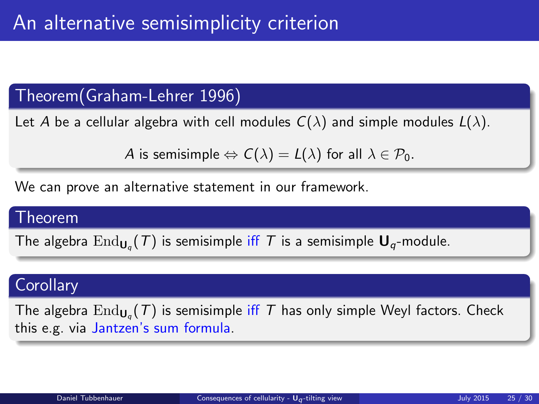### Theorem(Graham-Lehrer 1996)

Let A be a cellular algebra with cell modules  $C(\lambda)$  and simple modules  $L(\lambda)$ .

A is semisimple  $\Leftrightarrow C(\lambda) = L(\lambda)$  for all  $\lambda \in \mathcal{P}_0$ .

We can prove an alternative statement in our framework.

#### Theorem

The algebra  $\mathrm{End}_{\mathsf{U}_q}(\mathcal{T})$  is semisimple iff  $\mathcal{T}$  is a semisimple  $\mathsf{U}_q$ -module.

### **Corollary**

The algebra  $\mathrm{End}_{\mathsf{U}_q}(\mathcal{T})$  is semisimple iff  $\mathcal T$  has only simple Weyl factors. Check this e.g. via Jantzen's sum formula.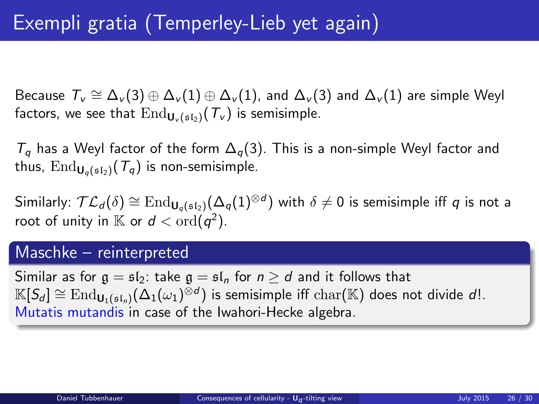Because  $\varGamma_v\cong\Delta_v(3)\oplus\Delta_v(1)\oplus\Delta_v(1)$ , and  $\Delta_v(3)$  and  $\Delta_v(1)$  are simple Weyl factors, we see that  $\text{End}_{\mathbf{U}_{\nu}(\mathfrak{sl}_2)}(\mathcal{T}_{\nu})$  is semisimple.

 $T_q$  has a Weyl factor of the form  $\Delta_q(3)$ . This is a non-simple Weyl factor and thus,  $\text{End}_{\mathbf{U}_q(\mathfrak{sl}_2)}(\mathcal{T}_q)$  is non-semisimple.

Similarly:  $\mathcal{TL}_d(\delta) \cong \mathrm{End}_{\mathsf{U}_q(\mathfrak{sl}_2)}(\Delta_q(1)^{\otimes d})$  with  $\delta \neq 0$  is semisimple iff  $q$  is not a root of unity in  $\mathbb K$  or  $d < \text{ord}(q^2)$ .

#### Maschke – reinterpreted

Similar as for  $\mathfrak{g} = \mathfrak{sl}_2$ : take  $\mathfrak{g} = \mathfrak{sl}_n$  for  $n \geq d$  and it follows that  $\mathbb{K}[S_d] \cong \mathrm{End}_{\mathsf{U}_1(\mathfrak{sl}_n)}(\Delta_1(\omega_1)^{\bar{\otimes}d})$  is semisimple iff  $\mathrm{char}(\mathbb{K})$  does not divide  $d!$ . Mutatis mutandis in case of the Iwahori-Hecke algebra.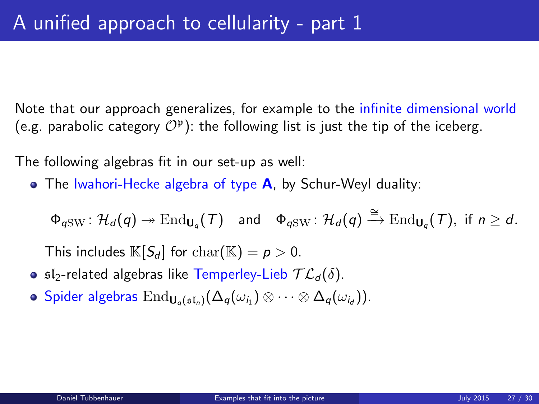Note that our approach generalizes, for example to the infinite dimensional world (e.g. parabolic category  $O^p$ ): the following list is just the tip of the iceberg.

The following algebras fit in our set-up as well:

 $\bullet$  The Iwahori-Hecke algebra of type **A**, by Schur-Weyl duality:

 $\Phi_{q \text{SW}} \colon \mathcal{H}_d(q) \twoheadrightarrow \text{End}_{\mathsf{U}_q}(\mathcal{T}) \quad \text{and} \quad \Phi_{q \text{SW}} \colon \mathcal{H}_d(q) \xrightarrow{\cong} \text{End}_{\mathsf{U}_q}(\mathcal{T}), \text{ if } n \geq d.$ 

This includes  $\mathbb{K}[S_d]$  for  $char(\mathbb{K}) = p > 0$ .

- **•**  $\mathfrak{sl}_2$ -related algebras like Temperley-Lieb  $\mathcal{TL}_d(\delta)$ .
- <span id="page-26-0"></span> $\mathsf{Spider}\ \mathsf{algebras}\ \mathop{\mathrm{End}}\nolimits_{\mathsf{U}_q(\mathfrak{sl}_n)}(\Delta_q(\omega_{i_1})\otimes\dots\otimes\Delta_q(\omega_{i_d})).$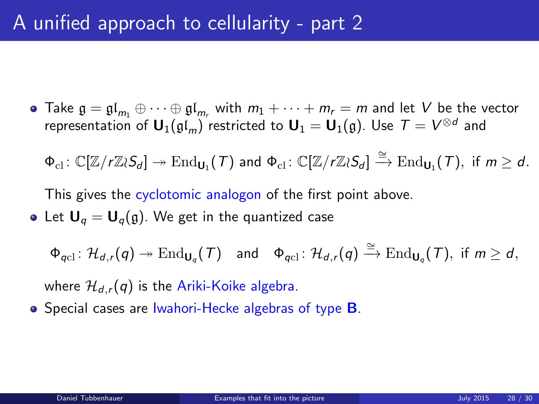• Take  $\mathfrak{g} = \mathfrak{gl}_{m_1} \oplus \cdots \oplus \mathfrak{gl}_{m_r}$  with  $m_1 + \cdots + m_r = m$  and let V be the vector representation of  ${\sf U}_1(\mathfrak{gl}_m)$  restricted to  ${\sf U}_1={\sf U}_1(\mathfrak{g})$ . Use  $\, \mathcal{T} = V^{\otimes d}$  and

 $\Phi_{\text{cl}}\colon \mathbb{C}[\mathbb{Z}/r\mathbb{Z}\wr S_d]\twoheadrightarrow \text{End}_{\mathbf{U}_1}(\mathcal{T})$  and  $\Phi_{\text{cl}}\colon \mathbb{C}[\mathbb{Z}/r\mathbb{Z}\wr S_d]\stackrel{\cong}{\to} \text{End}_{\mathbf{U}_1}(\mathcal{T}), \text{ if } m\geq d.$ 

This gives the cyclotomic analogon of the first point above.

• Let  $U_q = U_q(q)$ . We get in the quantized case

 $\Phi_{qcl} \colon \mathcal{H}_{d,r}(q) \twoheadrightarrow \text{End}_{\mathsf{U}_q}(\mathcal{T}) \quad \text{and} \quad \Phi_{qcl} \colon \mathcal{H}_{d,r}(q) \xrightarrow{\cong} \text{End}_{\mathsf{U}_q}(\mathcal{T}), \text{ if } m \geq d,$ 

where  $\mathcal{H}_{d,r}(q)$  is the Ariki-Koike algebra.

 $\bullet$  Special cases are Iwahori-Hecke algebras of type **B**.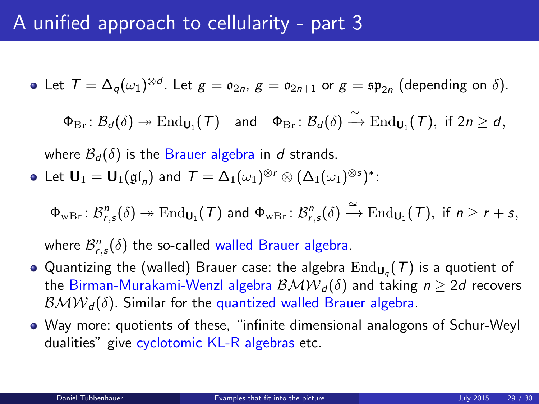## A unified approach to cellularity - part 3

Let  $T = \Delta_q(\omega_1)^{\otimes d}$ . Let  $g = o_{2n}$ ,  $g = o_{2n+1}$  or  $g = \mathfrak{sp}_{2n}$  (depending on  $\delta$ ).

 $\Phi_{\mathrm{Br}} \colon \mathcal{B}_d(\delta) \twoheadrightarrow \mathrm{End}_{\mathsf{U}_1}(\mathcal{T})$  and  $\Phi_{\mathrm{Br}} \colon \mathcal{B}_d(\delta) \xrightarrow{\cong} \mathrm{End}_{\mathsf{U}_1}(\mathcal{T})$ , if  $2n \geq d$ ,

where  $\mathcal{B}_d(\delta)$  is the Brauer algebra in d strands.

Let  $\mathsf{U}_1=\mathsf{U}_1(\mathfrak{gl}_n)$  and  $\mathcal{T}=\Delta_1(\omega_1)^{\otimes r}\otimes (\Delta_1(\omega_1)^{\otimes s})^*$ :

 $\Phi_{\text{wBr}}\colon \mathcal{B}^n_{r,\mathsf{s}}(\delta) \twoheadrightarrow \text{End}_{\mathsf{U}_1}(\mathcal{T})$  and  $\Phi_{\text{wBr}}\colon \mathcal{B}^n_{r,\mathsf{s}}(\delta) \xrightarrow{\cong} \text{End}_{\mathsf{U}_1}(\mathcal{T}), \,\, \text{if}\,\, n\geq r+s,$ 

where  $\mathcal{B}^n_{r,s}(\delta)$  the so-called walled Brauer algebra.

- Quantizing the (walled) Brauer case: the algebra  $\mathrm{End}_{\mathsf{U}_q}(\mathcal{T})$  is a quotient of the Birman-Murakami-Wenzl algebra  $\mathcal{B} \mathcal{M} \mathcal{W}_{d}(\delta)$  and taking  $n > 2d$  recovers  $B\mathcal{M}W_{d}(\delta)$ . Similar for the quantized walled Brauer algebra.
- Way more: quotients of these, "infinite dimensional analogons of Schur-Weyl dualities" give cyclotomic KL-R algebras etc.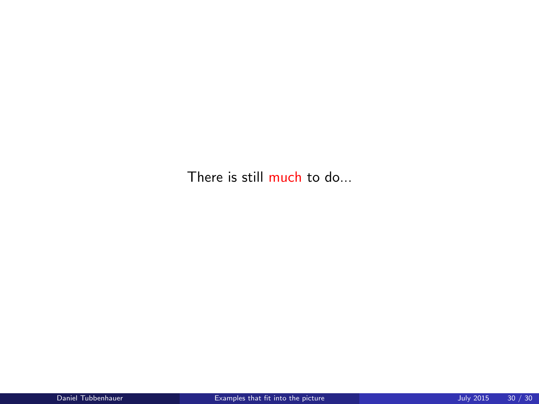There is still much to do...